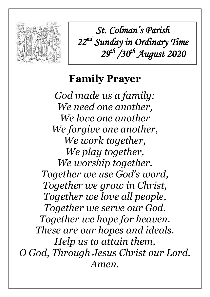

*St. Colman's Parish 22 nd Sunday in Ordinary Time 29th /30th August 2020*

# **Family Prayer**

*God made us a family: We need one another, We love one another We forgive one another, We work together, We play together, We worship together. Together we use God's word, Together we grow in Christ, Together we love all people, Together we serve our God. Together we hope for heaven. These are our hopes and ideals. Help us to attain them, O God, Through Jesus Christ our Lord. Amen.*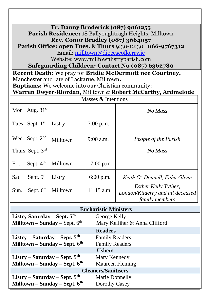#### **Fr. Danny Broderick (087) 9061255 Parish Residence:** 18 Ballyoughtragh Heights, Milltown **Rev. Conor Bradley (087) 3664057**

**Parish Office: open Tues.** & **Thurs** 9:30-12:30 **066-9767312** Email: [milltown@dioceseofkerry.ie](mailto:milltown@dioceseofkerry.ie)

Website: www.milltownlistryparish.com

**Safeguarding Children: Contact No (087) 6362780**

**Recent Death:** We pray for **Bridie McDermott nee Courtney,**  Manchester and late of Lackarue, Milltown**.**

**Baptisms:** We welcome into our Christian community:

#### **Warren Dwyer-Riordan,** Milltown & **Robert McCarthy, Ardmelode**

| Masses & Intentions |                            |          |              |                                                                                          |  |
|---------------------|----------------------------|----------|--------------|------------------------------------------------------------------------------------------|--|
|                     | Mon Aug. $31st$            |          |              | No Mass                                                                                  |  |
|                     | Tues Sept. 1 <sup>st</sup> | Listry   | $7:00$ p.m.  |                                                                                          |  |
|                     | Wed. Sept. $2nd$           | Milltown | $9:00$ a.m.  | People of the Parish                                                                     |  |
|                     | Thurs. Sept. 3rd           |          |              | No Mass                                                                                  |  |
| Fri.                | Sept. $4th$                | Milltown | $7:00$ p.m.  |                                                                                          |  |
| Sat.                | Sept. $5th$                | Listry   | $6:00$ p.m.  | Keith O' Donnell, Faha Glenn                                                             |  |
| Sun.                | Sept. $6th$                | Milltown | $11:15$ a.m. | <b>Esther Kelly Tyther,</b><br>London/Kilderry and all deceased<br><i>family members</i> |  |

| <b>Eucharistic Ministers</b>           |                               |  |  |  |  |
|----------------------------------------|-------------------------------|--|--|--|--|
| Listry Saturday – Sept. $5th$          | George Kelly                  |  |  |  |  |
| <b>Milltown – Sunday</b> – Sept. $6th$ | Mary Kelliher & Anna Clifford |  |  |  |  |
| <b>Readers</b>                         |                               |  |  |  |  |
| Listry – Saturday – Sept. $5th$        | <b>Family Readers</b>         |  |  |  |  |
| Milltown – Sunday – Sept. 6th          | <b>Family Readers</b>         |  |  |  |  |
| <b>Ushers</b>                          |                               |  |  |  |  |
| Listry – Saturday – Sept. $5th$        | Mary Kennedy                  |  |  |  |  |
| Milltown – Sunday – Sept. $6th$        | <b>Maureen Fleming</b>        |  |  |  |  |
| <b>Cleaners/Sanitisers</b>             |                               |  |  |  |  |
| Listry – Saturday – Sept. $5th$        | <b>Marie Donnelly</b>         |  |  |  |  |
| Milltown - Sunday - Sept. 6th          | Dorothy Casey                 |  |  |  |  |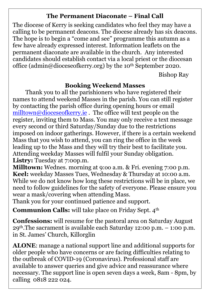#### **The Permanent Diaconate – Final Call**

The diocese of Kerry is seeking candidates who feel they may have a calling to be permanent deacons. The diocese already has six deacons. The hope is to begin a "come and see" programme this autumn as a few have already expressed interest. Information leaflets on the permanent diaconate are available in the church. Any interested candidates should establish contact via a local priest or the diocesan office (admin@dioceseofkerry.org) by the 10<sup>th</sup> September 2020.

Bishop Ray

### **Booking Weekend Masses**

Thank you to all the parishioners who have registered their names to attend weekend Masses in the parish. You can still register by contacting the parish office during opening hours or email [milltown@dioceseofkerry.ie](mailto:milltown@dioceseofkerry.ie). The office will text people on the register, inviting them to Mass. You may only receive a text message every second or third Saturday/Sunday due to the restrictions imposed on indoor gatherings. However, if there is a certain weekend Mass that you wish to attend, you can ring the office in the week leading up to the Mass and they will try their best to facilitate you. Attending weekday Masses will fulfil your Sunday obligation. **Listry:** Tuesday at 7:00p.m.

**Milltown:** Wednes. morning at 9:oo a.m. & Fri. evening 7:00 p.m. **Keel:** weekday Masses Tues, Wednesday & Thursday at 10:00 a.m. While we do not know how long these restrictions will be in place, we need to follow guidelines for the safety of everyone. Please ensure you wear a mask/covering when attending Mass.

Thank you for your continued patience and support.

**Communion Calls:** will take place on Friday Sept. 4<sup>th</sup>

**Confessions:** will resume for the pastoral area on Saturday August 29th.The sacrament is available each Saturday 12:00 p.m. – 1:00 p.m. in St. James' Church, Killorglin

**ALONE**: manage a national support line and additional supports for older people who have concerns or are facing difficulties relating to the outbreak of COVID-19 (Coronavirus). Professional staff are available to answer queries and give advice and reassurance where necessary. The support line is open seven days a week, 8am - 8pm, by calling 0818 222 024.